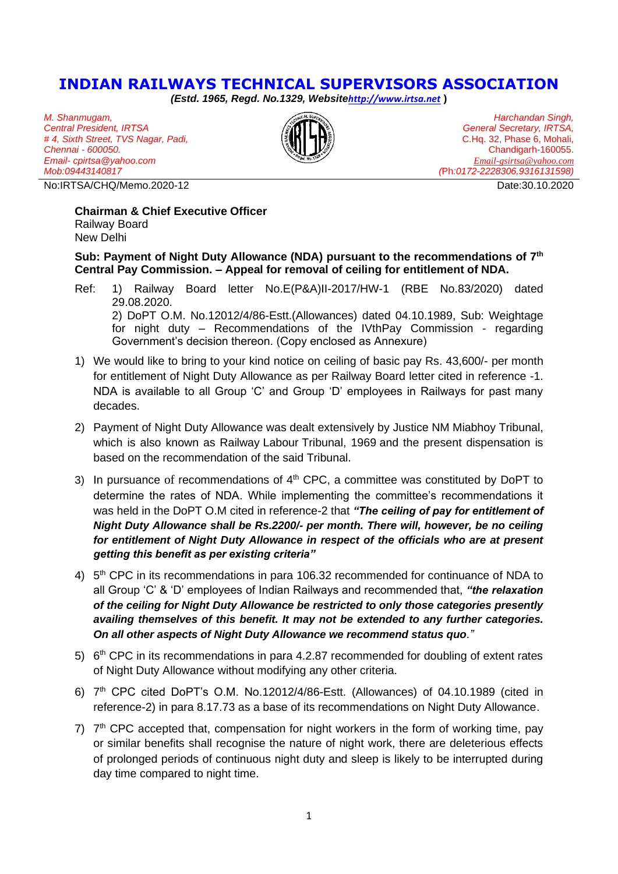# **INDIAN RAILWAYS TECHNICAL SUPERVISORS ASSOCIATION**

*(Estd. 1965, Regd. No.1329, Website[http://www.irtsa.net](http://www.irtsa.net/)* **)**

*M. Shanmugam, Central President, IRTSA # 4, Sixth Street, TVS Nagar, Padi, Chennai - 600050. Email- cpirtsa@yahoo.com Mob:09443140817*

No:IRTSA/CHQ/Memo.2020-12 Date:30.10.2020



*Harchandan Singh, General Secretary, IRTSA,* C.Hq. 32, Phase 6, Mohali, Chandigarh-160055. *[Email-gsirtsa@yahoo.com](mailto:Email-gsirtsa@yahoo.com) (*Ph*:0172-2228306,9316131598)*

#### **Chairman & Chief Executive Officer** Railway Board New Delhi

**Sub: Payment of Night Duty Allowance (NDA) pursuant to the recommendations of 7th Central Pay Commission. – Appeal for removal of ceiling for entitlement of NDA.** 

- Ref: 1) Railway Board letter No.E(P&A)II-2017/HW-1 (RBE No.83/2020) dated 29.08.2020. 2) DoPT O.M. No.12012/4/86-Estt.(Allowances) dated 04.10.1989, Sub: Weightage for night duty – Recommendations of the IVthPay Commission - regarding Government's decision thereon. (Copy enclosed as Annexure)
- 1) We would like to bring to your kind notice on ceiling of basic pay Rs. 43,600/- per month for entitlement of Night Duty Allowance as per Railway Board letter cited in reference -1. NDA is available to all Group 'C' and Group 'D' employees in Railways for past many decades.
- 2) Payment of Night Duty Allowance was dealt extensively by Justice NM Miabhoy Tribunal, which is also known as Railway Labour Tribunal, 1969 and the present dispensation is based on the recommendation of the said Tribunal.
- 3) In pursuance of recommendations of  $4<sup>th</sup>$  CPC, a committee was constituted by DoPT to determine the rates of NDA. While implementing the committee's recommendations it was held in the DoPT O.M cited in reference-2 that *"The ceiling of pay for entitlement of Night Duty Allowance shall be Rs.2200/- per month. There will, however, be no ceiling for entitlement of Night Duty Allowance in respect of the officials who are at present getting this benefit as per existing criteria"*
- 4) 5<sup>th</sup> CPC in its recommendations in para 106.32 recommended for continuance of NDA to all Group 'C' & 'D' employees of Indian Railways and recommended that, *"the relaxation of the ceiling for Night Duty Allowance be restricted to only those categories presently availing themselves of this benefit. It may not be extended to any further categories. On all other aspects of Night Duty Allowance we recommend status quo."*
- $5)$  6<sup>th</sup> CPC in its recommendations in para 4.2.87 recommended for doubling of extent rates of Night Duty Allowance without modifying any other criteria.
- 6)  $7<sup>th</sup>$  CPC cited DoPT's O.M. No.12012/4/86-Estt. (Allowances) of 04.10.1989 (cited in reference-2) in para 8.17.73 as a base of its recommendations on Night Duty Allowance.
- $7)$   $7<sup>th</sup>$  CPC accepted that, compensation for night workers in the form of working time, pay or similar benefits shall recognise the nature of night work, there are deleterious effects of prolonged periods of continuous night duty and sleep is likely to be interrupted during day time compared to night time.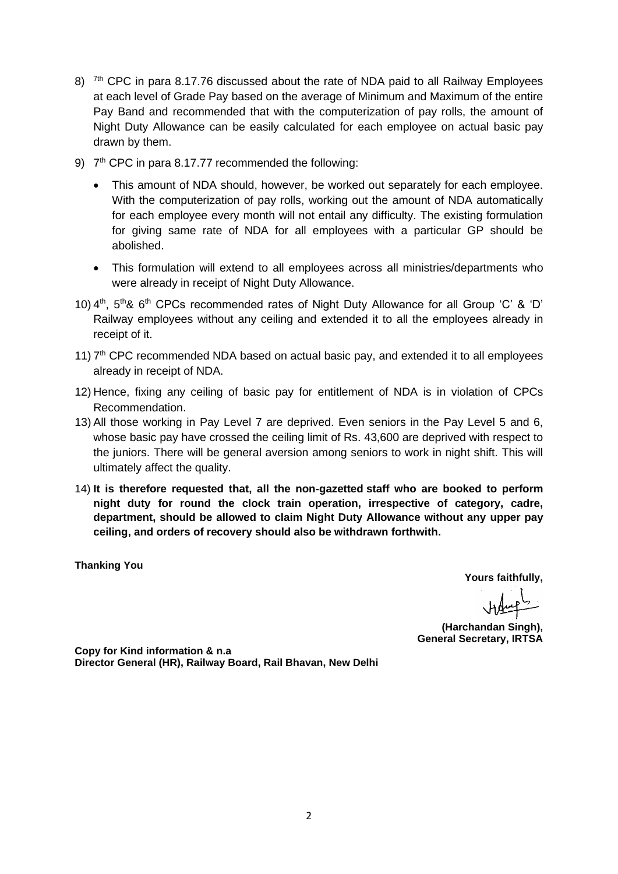- 8)  $\frac{7\text{th}}{10}$  CPC in para 8.17.76 discussed about the rate of NDA paid to all Railway Employees at each level of Grade Pay based on the average of Minimum and Maximum of the entire Pay Band and recommended that with the computerization of pay rolls, the amount of Night Duty Allowance can be easily calculated for each employee on actual basic pay drawn by them.
- 9)  $7<sup>th</sup>$  CPC in para 8.17.77 recommended the following:
	- This amount of NDA should, however, be worked out separately for each employee. With the computerization of pay rolls, working out the amount of NDA automatically for each employee every month will not entail any difficulty. The existing formulation for giving same rate of NDA for all employees with a particular GP should be abolished.
	- This formulation will extend to all employees across all ministries/departments who were already in receipt of Night Duty Allowance.
- 10) 4<sup>th</sup>, 5<sup>th</sup>& 6<sup>th</sup> CPCs recommended rates of Night Duty Allowance for all Group 'C' & 'D' Railway employees without any ceiling and extended it to all the employees already in receipt of it.
- 11)  $7<sup>th</sup>$  CPC recommended NDA based on actual basic pay, and extended it to all employees already in receipt of NDA.
- 12) Hence, fixing any ceiling of basic pay for entitlement of NDA is in violation of CPCs Recommendation.
- 13) All those working in Pay Level 7 are deprived. Even seniors in the Pay Level 5 and 6, whose basic pay have crossed the ceiling limit of Rs. 43,600 are deprived with respect to the juniors. There will be general aversion among seniors to work in night shift. This will ultimately affect the quality.
- 14) **It is therefore requested that, all the non-gazetted staff who are booked to perform night duty for round the clock train operation, irrespective of category, cadre, department, should be allowed to claim Night Duty Allowance without any upper pay ceiling, and orders of recovery should also be withdrawn forthwith.**

**Thanking You**

**Yours faithfully,**

**(Harchandan Singh), General Secretary, IRTSA**

**Copy for Kind information & n.a Director General (HR), Railway Board, Rail Bhavan, New Delhi**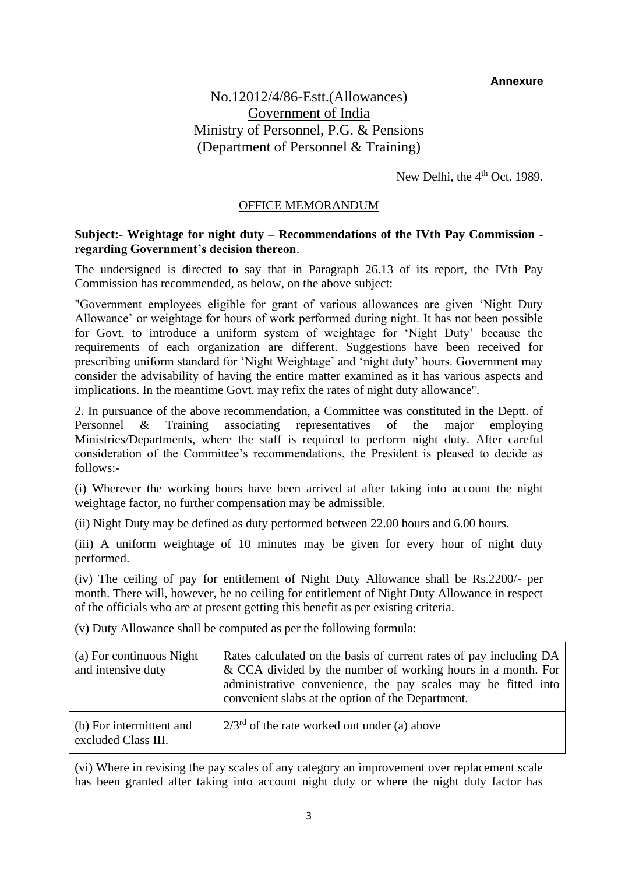### **Annexure**

## No.12012/4/86-Estt.(Allowances) Government of India Ministry of Personnel, P.G. & Pensions (Department of Personnel & Training)

New Delhi, the 4<sup>th</sup> Oct. 1989.

### OFFICE MEMORANDUM

### **Subject:- Weightage for night duty – Recommendations of the IVth Pay Commission regarding Government's decision thereon**.

The undersigned is directed to say that in Paragraph 26.13 of its report, the IVth Pay Commission has recommended, as below, on the above subject:

"Government employees eligible for grant of various allowances are given 'Night Duty Allowance' or weightage for hours of work performed during night. It has not been possible for Govt. to introduce a uniform system of weightage for 'Night Duty' because the requirements of each organization are different. Suggestions have been received for prescribing uniform standard for 'Night Weightage' and 'night duty' hours. Government may consider the advisability of having the entire matter examined as it has various aspects and implications. In the meantime Govt. may refix the rates of night duty allowance".

2. In pursuance of the above recommendation, a Committee was constituted in the Deptt. of Personnel & Training associating representatives of the major employing Ministries/Departments, where the staff is required to perform night duty. After careful consideration of the Committee's recommendations, the President is pleased to decide as follows:-

(i) Wherever the working hours have been arrived at after taking into account the night weightage factor, no further compensation may be admissible.

(ii) Night Duty may be defined as duty performed between 22.00 hours and 6.00 hours.

(iii) A uniform weightage of 10 minutes may be given for every hour of night duty performed.

(iv) The ceiling of pay for entitlement of Night Duty Allowance shall be Rs.2200/- per month. There will, however, be no ceiling for entitlement of Night Duty Allowance in respect of the officials who are at present getting this benefit as per existing criteria.

| (a) For continuous Night<br>and intensive duty  | Rates calculated on the basis of current rates of pay including DA<br>& CCA divided by the number of working hours in a month. For<br>administrative convenience, the pay scales may be fitted into<br>convenient slabs at the option of the Department. |
|-------------------------------------------------|----------------------------------------------------------------------------------------------------------------------------------------------------------------------------------------------------------------------------------------------------------|
| (b) For intermittent and<br>excluded Class III. | $2/3^{rd}$ of the rate worked out under (a) above                                                                                                                                                                                                        |

(v) Duty Allowance shall be computed as per the following formula:

(vi) Where in revising the pay scales of any category an improvement over replacement scale has been granted after taking into account night duty or where the night duty factor has